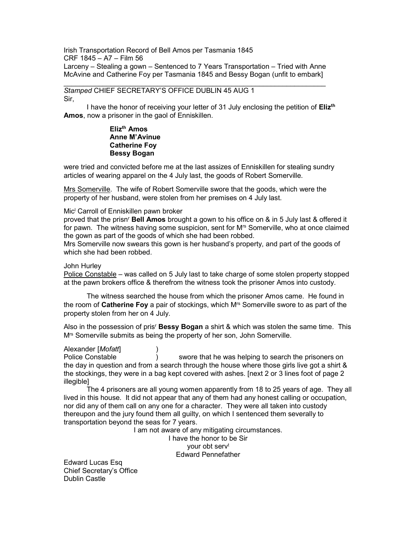Irish Transportation Record of Bell Amos per Tasmania 1845 CRF 1845 – A7 – Film 56 Larceny – Stealing a gown – Sentenced to 7 Years Transportation – Tried with Anne McAvine and Catherine Foy per Tasmania 1845 and Bessy Bogan (unfit to embark]

# Stamped CHIEF SECRETARY'S OFFICE DUBLIN 45 AUG 1

Sir,

I have the honor of receiving your letter of 31 July enclosing the petition of Eliz<sup>th</sup> Amos, now a prisoner in the gaol of Enniskillen.

# Eliz<sup>th</sup> Amos Anne M'Avinue Catherine Foy Bessy Bogan

were tried and convicted before me at the last assizes of Enniskillen for stealing sundry articles of wearing apparel on the 4 July last, the goods of Robert Somerville.

Mrs Somerville. The wife of Robert Somerville swore that the goods, which were the property of her husband, were stolen from her premises on 4 July last.

## Mic<sup>i</sup> Carroll of Enniskillen pawn broker

proved that the prisn<sup>r</sup> Bell Amos brought a gown to his office on & in 5 July last & offered it for pawn. The witness having some suspicion, sent for Mrs Somerville, who at once claimed the gown as part of the goods of which she had been robbed.

Mrs Somerville now swears this gown is her husband's property, and part of the goods of which she had been robbed.

### John Hurley

Police Constable – was called on 5 July last to take charge of some stolen property stopped at the pawn brokers office & therefrom the witness took the prisoner Amos into custody.

 The witness searched the house from which the prisoner Amos came. He found in the room of Catherine Foy a pair of stockings, which M<sup>rs</sup> Somerville swore to as part of the property stolen from her on 4 July.

Also in the possession of pris<sup>r</sup> Bessy Bogan a shirt  $\&$  which was stolen the same time. This M<sup>rs</sup> Somerville submits as being the property of her son, John Somerville.

# Alexander [Mofatt] )

Police Constable ) swore that he was helping to search the prisoners on the day in question and from a search through the house where those girls live got a shirt & the stockings, they were in a bag kept covered with ashes. [next 2 or 3 lines foot of page 2 **illegible]** 

 The 4 prisoners are all young women apparently from 18 to 25 years of age. They all lived in this house. It did not appear that any of them had any honest calling or occupation, nor did any of them call on any one for a character. They were all taken into custody thereupon and the jury found them all guilty, on which I sentenced them severally to transportation beyond the seas for 7 years.

I am not aware of any mitigating circumstances.

I have the honor to be Sir your obt serv<sup>t</sup> Edward Pennefather

Edward Lucas Esq Chief Secretary's Office Dublin Castle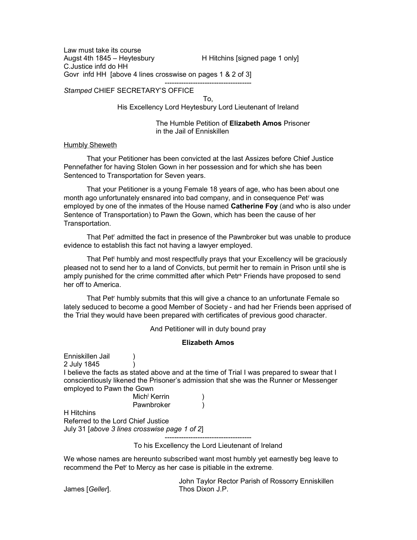Law must take its course Augst 4th 1845 – Heytesbury **H** Hitchins [signed page 1 only] C.Justice infd do HH Govr infd HH [above 4 lines crosswise on pages 1 & 2 of 3]

## Stamped CHIEF SECRETARY'S OFFICE

To,

His Excellency Lord Heytesbury Lord Lieutenant of Ireland

-------------------------------------

 The Humble Petition of Elizabeth Amos Prisoner in the Jail of Enniskillen

#### Humbly Sheweth

 That your Petitioner has been convicted at the last Assizes before Chief Justice Pennefather for having Stolen Gown in her possession and for which she has been Sentenced to Transportation for Seven years.

 That your Petitioner is a young Female 18 years of age, who has been about one month ago unfortunately ensnared into bad company, and in consequence Pet<sup>r</sup> was employed by one of the inmates of the House named Catherine Foy (and who is also under Sentence of Transportation) to Pawn the Gown, which has been the cause of her Transportation.

 That Pet<sup>r</sup> admitted the fact in presence of the Pawnbroker but was unable to produce evidence to establish this fact not having a lawyer employed.

 That Pet<sup>t</sup> humbly and most respectfully prays that your Excellency will be graciously pleased not to send her to a land of Convicts, but permit her to remain in Prison until she is amply punished for the crime committed after which Petr<sup>s</sup> Friends have proposed to send her off to America.

 That Pet<sup>r</sup> humbly submits that this will give a chance to an unfortunate Female so lately seduced to become a good Member of Society - and had her Friends been apprised of the Trial they would have been prepared with certificates of previous good character.

And Petitioner will in duty bound pray

#### Elizabeth Amos

Enniskillen Jail (b. 1914) 2 July 1845 ) I believe the facts as stated above and at the time of Trial I was prepared to swear that I conscientiously likened the Prisoner's admission that she was the Runner or Messenger employed to Pawn the Gown mich<sup>i</sup> Kerrin (1988)

Pawnbroker )

H Hitchins Referred to the Lord Chief Justice July 31 [above 3 lines crosswise page 1 of 2]

> ------------------------------------- To his Excellency the Lord Lieutenant of Ireland

We whose names are hereunto subscribed want most humbly yet earnestly beg leave to recommend the Pet<sup>r</sup> to Mercy as her case is pitiable in the extreme.

James [*Geller*].

John Taylor Rector Parish of Rossorry Enniskillen